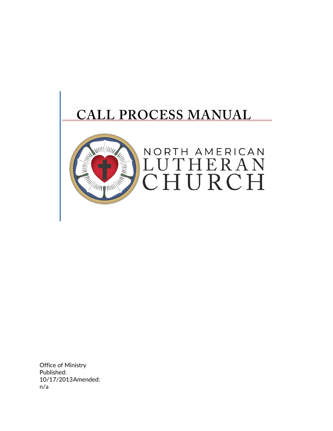

Office of Ministry Published: 10/17/2013Amended: n/a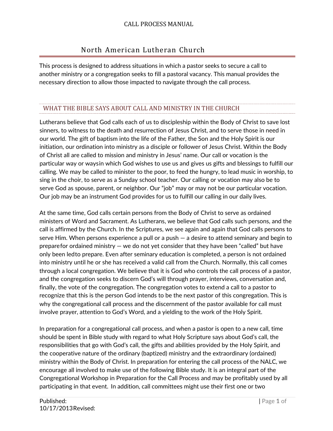# North American Lutheran Church

This process is designed to address situations in which a pastor seeks to secure a call to another ministry or a congregation seeks to fill a pastoral vacancy. This manual provides the necessary direction to allow those impacted to navigate through the call process.

### WHAT THE BIBLE SAYS ABOUT CALL AND MINISTRY IN THE CHURCH

Lutherans believe that God calls each of us to discipleship within the Body of Christ to save lost sinners, to witness to the death and resurrection of Jesus Christ, and to serve those in need in our world. The gift of baptism into the life of the Father, the Son and the Holy Spirit is our initiation, our ordination into ministry as a disciple or follower of Jesus Christ. Within the Body of Christ all are called to mission and ministry in Jesus' name. Our call or vocation is the particular way or waysin which God wishes to use us and gives us gifts and blessings to fulfill our calling. We may be called to minister to the poor, to feed the hungry, to lead music in worship, to sing in the choir, to serve as a Sunday school teacher. Our calling or vocation may also be to serve God as spouse, parent, or neighbor. Our "job" may or may not be our particular vocation. Our job may be an instrument God provides for us to fulfill our calling in our daily lives.

At the same time, God calls certain persons from the Body of Christ to serve as ordained ministers of Word and Sacrament. As Lutherans, we believe that God calls such persons, and the call is affirmed by the Church. In the Scriptures, we see again and again that God calls persons to serve Him. When persons experience a pull or a push — a desire to attend seminary and begin to preparefor ordained ministry — we do not yet consider that they have been "called" but have only been ledto prepare. Even after seminary education is completed, a person is not ordained into ministry until he or she has received a valid call from the Church. Normally, this call comes through a local congregation. We believe that it is God who controls the call process of a pastor, and the congregation seeks to discern God's will through prayer, interviews, conversation and, finally, the vote of the congregation. The congregation votes to extend a call to a pastor to recognize that this is the person God intends to be the next pastor of this congregation. This is why the congregational call process and the discernment of the pastor available for call must involve prayer, attention to God's Word, and a yielding to the work of the Holy Spirit.

In preparation for a congregational call process, and when a pastor is open to a new call, time should be spent in Bible study with regard to what Holy Scripture says about God's call, the responsibilities that go with God's call, the gifts and abilities provided by the Holy Spirit, and the cooperative nature of the ordinary (baptized) ministry and the extraordinary (ordained) ministry within the Body of Christ. In preparation for entering the call process of the NALC, we encourage all involved to make use of the following Bible study. It is an integral part of the Congregational Workshop in Preparation for the Call Process and may be profitably used by all participating in that event. In addition, call committees might use their first one or two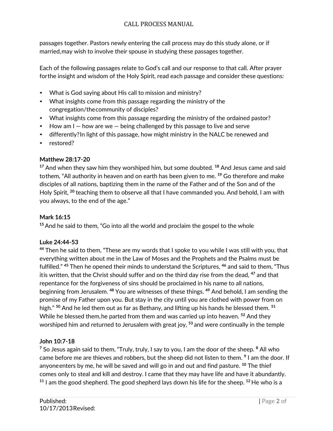passages together. Pastors newly entering the call process may do this study alone, or if married,may wish to involve their spouse in studying these passages together.

Each of the following passages relate to God's call and our response to that call. After prayer forthe insight and wisdom of the Holy Spirit, read each passage and consider these questions:

- What is God saying about His call to mission and ministry?
- What insights come from this passage regarding the ministry of the congregation/thecommunity of disciples?
- What insights come from this passage regarding the ministry of the ordained pastor?
- How am I how are we being challenged by this passage to live and serve
- differently? In light of this passage, how might ministry in the NALC be renewed and
- restored?

### **Matthew 28:17-20**

**<sup>17</sup>** And when they saw him they worshiped him, but some doubted. **<sup>18</sup>** And Jesus came and said tothem, "All authority in heaven and on earth has been given to me. **<sup>19</sup>** Go therefore and make disciples of all nations, baptizing them in the name of the Father and of the Son and of the Holy Spirit, **<sup>20</sup>** teaching them to observe all that I have commanded you. And behold, I am with you always, to the end of the age."

### **Mark 16:15**

**<sup>15</sup>** And he said to them, "Go into all the world and proclaim the gospel to the whole

### **Luke 24:44-53**

**<sup>44</sup>** Then he said to them, "These are my words that I spoke to you while I was still with you, that everything written about me in the Law of Moses and the Prophets and the Psalms must be fulfilled." **<sup>45</sup>** Then he opened their minds to understand the Scriptures, **<sup>46</sup>** and said to them, "Thus itis written, that the Christ should suffer and on the third day rise from the dead, **<sup>47</sup>** and that repentance for the forgiveness of sins should be proclaimed in his name to all nations, beginning from Jerusalem. **<sup>48</sup>** You are witnesses of these things. **<sup>49</sup>** And behold, I am sending the promise of my Father upon you. But stay in the city until you are clothed with power from on high." **<sup>50</sup>** And he led them out as far as Bethany, and lifting up his hands he blessed them. **<sup>51</sup>** While he blessed them,he parted from them and was carried up into heaven. **<sup>52</sup>** And they worshiped him and returned to Jerusalem with great joy, **<sup>53</sup>** and were continually in the temple

### **John 10:7-18**

**<sup>7</sup>** So Jesus again said to them, "Truly, truly, I say to you, I am the door of the sheep. **<sup>8</sup>** All who came before me are thieves and robbers, but the sheep did not listen to them. **<sup>9</sup>** I am the door. If anyoneenters by me, he will be saved and will go in and out and find pasture. **<sup>10</sup>** The thief comes only to steal and kill and destroy. I came that they may have life and have it abundantly. **<sup>11</sup>** I am the good shepherd. The good shepherd lays down his life for the sheep. **<sup>12</sup>** He who is a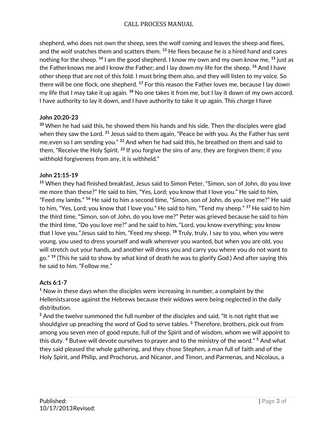shepherd, who does not own the sheep, sees the wolf coming and leaves the sheep and flees, and the wolf snatches them and scatters them. **<sup>13</sup>** He flees because he is a hired hand and cares nothing for the sheep. **<sup>14</sup>** I am the good shepherd. I know my own and my own know me, **<sup>15</sup>** just as the Fatherknows me and I know the Father; and I lay down my life for the sheep. **<sup>16</sup>** And I have other sheep that are not of this fold. I must bring them also, and they will listen to my voice. So there will be one flock, one shepherd. **<sup>17</sup>** For this reason the Father loves me, because I lay down my life that I may take it up again. **<sup>18</sup>** No one takes it from me, but I lay it down of my own accord. I have authority to lay it down, and I have authority to take it up again. This charge I have

#### **John 20:20-23**

**<sup>20</sup>** When he had said this, he showed them his hands and his side. Then the disciples were glad when they saw the Lord. **<sup>21</sup>** Jesus said to them again, "Peace be with you. As the Father has sent me,even so I am sending you." **<sup>22</sup>** And when he had said this, he breathed on them and said to them, "Receive the Holy Spirit. **<sup>23</sup>** If you forgive the sins of any, they are forgiven them; if you withhold forgiveness from any, it is withheld."

#### **John 21:15-19**

**<sup>15</sup>** When they had finished breakfast, Jesus said to Simon Peter, "Simon, son of John, do you love me more than these?" He said to him, "Yes, Lord; you know that I love you." He said to him, "Feed my lambs." **<sup>16</sup>** He said to him a second time, "Simon, son of John, do you love me?" He said to him, "Yes, Lord; you know that I love you." He said to him, "Tend my sheep." **<sup>17</sup>** He said to him the third time, "Simon, son of John, do you love me?" Peter was grieved because he said to him the third time, "Do you love me?" and he said to him, "Lord, you know everything; you know that I love you."Jesus said to him, "Feed my sheep. **<sup>18</sup>** Truly, truly, I say to you, when you were young, you used to dress yourself and walk wherever you wanted, but when you are old, you will stretch out your hands, and another will dress you and carry you where you do not want to go." **<sup>19</sup>** (This he said to show by what kind of death he was to glorify God.) And after saying this he said to him, "Follow me."

### **Acts 6:1-7**

**<sup>1</sup>** Now in these days when the disciples were increasing in number, a complaint by the Hellenistsarose against the Hebrews because their widows were being neglected in the daily distribution.

**<sup>2</sup>** And the twelve summoned the full number of the disciples and said, "It is not right that we shouldgive up preaching the word of God to serve tables. **<sup>3</sup>** Therefore, brothers, pick out from among you seven men of good repute, full of the Spirit and of wisdom, whom we will appoint to this duty. **<sup>4</sup>** Butwe will devote ourselves to prayer and to the ministry of the word." **<sup>5</sup>** And what they said pleased the whole gathering, and they chose Stephen, a man full of faith and of the Holy Spirit, and Philip, and Prochorus, and Nicanor, and Timon, and Parmenas, and Nicolaus, a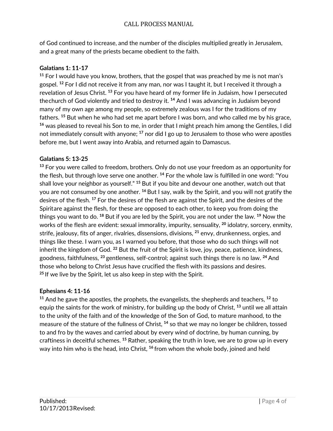of God continued to increase, and the number of the disciples multiplied greatly in Jerusalem, and a great many of the priests became obedient to the faith.

### **Galatians 1: 11-17**

**<sup>11</sup>** For I would have you know, brothers, that the gospel that was preached by me is not man's gospel. **<sup>12</sup>** For I did not receive it from any man, nor was I taught it, but I received it through a revelation of Jesus Christ. **<sup>13</sup>** For you have heard of my former life in Judaism, how I persecuted thechurch of God violently and tried to destroy it. **<sup>14</sup>** And I was advancing in Judaism beyond many of my own age among my people, so extremely zealous was I for the traditions of my fathers. **<sup>15</sup>** But when he who had set me apart before I was born, and who called me by his grace, **<sup>16</sup>** was pleased to reveal his Son to me, in order that I might preach him among the Gentiles, I did not immediately consult with anyone; **<sup>17</sup>** nor did I go up to Jerusalem to those who were apostles before me, but I went away into Arabia, and returned again to Damascus.

#### **Galatians 5: 13-25**

**<sup>13</sup>** For you were called to freedom, brothers. Only do not use your freedom as an opportunity for the flesh, but through love serve one another. **<sup>14</sup>** For the whole law is fulfilled in one word: "You shall love your neighbor as yourself." **<sup>15</sup>** But if you bite and devour one another, watch out that you are not consumed by one another. **<sup>16</sup>** But I say, walk by the Spirit, and you will not gratify the desires of the flesh. **<sup>17</sup>** For the desires of the flesh are against the Spirit, and the desires of the Spiritare against the flesh, for these are opposed to each other, to keep you from doing the things you want to do. **<sup>18</sup>** But if you are led by the Spirit, you are not under the law. **<sup>19</sup>** Now the works of the flesh are evident: sexual immorality, impurity, sensuality, **<sup>20</sup>** idolatry, sorcery, enmity, strife, jealousy, fits of anger, rivalries, dissensions, divisions, **<sup>21</sup>** envy, drunkenness, orgies, and things like these. I warn you, as I warned you before, that those who do such things will not inherit the kingdom of God. **<sup>22</sup>** But the fruit of the Spirit is love, joy, peace, patience, kindness, goodness, faithfulness, **<sup>23</sup>** gentleness, self-control; against such things there is no law. **<sup>24</sup>** And those who belong to Christ Jesus have crucified the flesh with its passions and desires. **<sup>25</sup>** If we live by the Spirit, let us also keep in step with the Spirit.

### **Ephesians 4: 11-16**

**<sup>11</sup>** And he gave the apostles, the prophets, the evangelists, the shepherds and teachers, **<sup>12</sup>** to equip the saints for the work of ministry, for building up the body of Christ, **<sup>13</sup>** until we all attain to the unity of the faith and of the knowledge of the Son of God, to mature manhood, to the measure of the stature of the fullness of Christ, **<sup>14</sup>** so that we may no longer be children, tossed to and fro by the waves and carried about by every wind of doctrine, by human cunning, by craftiness in deceitful schemes. **<sup>15</sup>** Rather, speaking the truth in love, we are to grow up in every way into him who is the head, into Christ, **<sup>16</sup>** from whom the whole body, joined and held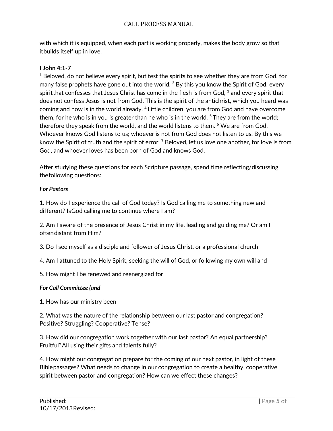with which it is equipped, when each part is working properly, makes the body grow so that itbuilds itself up in love.

#### **I John 4:1-7**

**<sup>1</sup>** Beloved, do not believe every spirit, but test the spirits to see whether they are from God, for many false prophets have gone out into the world. **<sup>2</sup>** By this you know the Spirit of God: every spiritthat confesses that Jesus Christ has come in the flesh is from God, **<sup>3</sup>** and every spirit that does not confess Jesus is not from God. This is the spirit of the antichrist, which you heard was coming and now is in the world already. **<sup>4</sup>** Little children, you are from God and have overcome them, for he who is in you is greater than he who is in the world. **<sup>5</sup>** They are from the world; therefore they speak from the world, and the world listens to them. **<sup>6</sup>** We are from God. Whoever knows God listens to us; whoever is not from God does not listen to us. By this we know the Spirit of truth and the spirit of error. **<sup>7</sup>** Beloved, let us love one another, for love is from God, and whoever loves has been born of God and knows God.

After studying these questions for each Scripture passage, spend time reflecting/discussing thefollowing questions:

#### *For Pastors*

1. How do I experience the call of God today? Is God calling me to something new and different? IsGod calling me to continue where I am?

2. Am I aware of the presence of Jesus Christ in my life, leading and guiding me? Or am I oftendistant from Him?

3. Do I see myself as a disciple and follower of Jesus Christ, or a professional church

4. Am I attuned to the Holy Spirit, seeking the will of God, or following my own will and

5. How might I be renewed and reenergized for

#### *For Call Committee (and*

1. How has our ministry been

2. What was the nature of the relationship between our last pastor and congregation? Positive? Struggling? Cooperative? Tense?

3. How did our congregation work together with our last pastor? An equal partnership? Fruitful?All using their gifts and talents fully?

4. How might our congregation prepare for the coming of our next pastor, in light of these Biblepassages? What needs to change in our congregation to create a healthy, cooperative spirit between pastor and congregation? How can we effect these changes?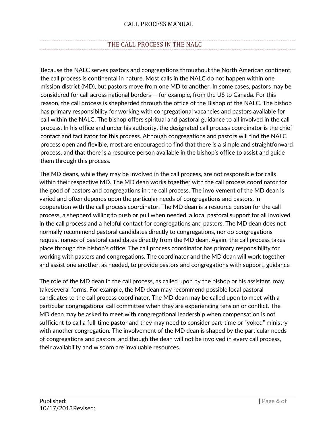# THE CALL PROCESS IN THE NALC

Because the NALC serves pastors and congregations throughout the North American continent, the call process is continental in nature. Most calls in the NALC do not happen within one mission district (MD), but pastors move from one MD to another. In some cases, pastors may be considered for call across national borders — for example, from the US to Canada. For this reason, the call process is shepherded through the office of the Bishop of the NALC. The bishop has primary responsibility for working with congregational vacancies and pastors available for call within the NALC. The bishop offers spiritual and pastoral guidance to all involved in the call process. In his office and under his authority, the designated call process coordinator is the chief contact and facilitator for this process. Although congregations and pastors will find the NALC process open and flexible, most are encouraged to find that there is a simple and straightforward process, and that there is a resource person available in the bishop's office to assist and guide them through this process.

The MD deans, while they may be involved in the call process, are not responsible for calls within their respective MD. The MD dean works together with the call process coordinator for the good of pastors and congregations in the call process. The involvement of the MD dean is varied and often depends upon the particular needs of congregations and pastors, in cooperation with the call process coordinator. The MD dean is a resource person for the call process, a shepherd willing to push or pull when needed, a local pastoral support for all involved in the call process and a helpful contact for congregations and pastors. The MD dean does not normally recommend pastoral candidates directly to congregations, nor do congregations request names of pastoral candidates directly from the MD dean. Again, the call process takes place through the bishop's office. The call process coordinator has primary responsibility for working with pastors and congregations. The coordinator and the MD dean will work together and assist one another, as needed, to provide pastors and congregations with support, guidance

The role of the MD dean in the call process, as called upon by the bishop or his assistant, may takeseveral forms. For example, the MD dean may recommend possible local pastoral candidates to the call process coordinator. The MD dean may be called upon to meet with a particular congregational call committee when they are experiencing tension or conflict. The MD dean may be asked to meet with congregational leadership when compensation is not sufficient to call a full-time pastor and they may need to consider part-time or "yoked" ministry with another congregation. The involvement of the MD dean is shaped by the particular needs of congregations and pastors, and though the dean will not be involved in every call process, their availability and wisdom are invaluable resources.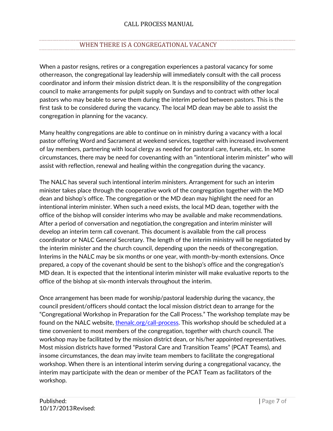# WHEN THERE IS A CONGREGATIONAL VACANCY

When a pastor resigns, retires or a congregation experiences a pastoral vacancy for some otherreason, the congregational lay leadership will immediately consult with the call process coordinator and inform their mission district dean. It is the responsibility of the congregation council to make arrangements for pulpit supply on Sundays and to contract with other local pastors who may beable to serve them during the interim period between pastors. This is the first task to be considered during the vacancy. The local MD dean may be able to assist the congregation in planning for the vacancy.

Many healthy congregations are able to continue on in ministry during a vacancy with a local pastor offering Word and Sacrament at weekend services, together with increased involvement of lay members, partnering with local clergy as needed for pastoral care, funerals, etc. In some circumstances, there may be need for covenanting with an "intentional interim minister" who will assist with reflection, renewal and healing within the congregation during the vacancy.

The NALC has several such intentional interim ministers. Arrangement for such an interim minister takes place through the cooperative work of the congregation together with the MD dean and bishop's office. The congregation or the MD dean may highlight the need for an intentional interim minister. When such a need exists, the local MD dean, together with the office of the bishop will consider interims who may be available and make recommendations. After a period of conversation and negotiation,the congregation and interim minister will develop an interim term call covenant. This document is available from the call process coordinator or NALC General Secretary. The length of the interim ministry will be negotiated by the interim minister and the church council, depending upon the needs of thecongregation. Interims in the NALC may be six months or one year, with month-by-month extensions. Once prepared, a copy of the covenant should be sent to the bishop's office and the congregation's MD dean. It is expected that the intentional interim minister will make evaluative reports to the office of the bishop at six-month intervals throughout the interim.

Once arrangement has been made for worship/pastoral leadership during the vacancy, the council president/officers should contact the local mission district dean to arrange for the "Congregational Workshop in Preparation for the Call Process." The workshop template may be found on the NALC website, thenalc.org/call-process. This workshop should be scheduled at a time convenient to most members of the congregation, together with church council. The workshop may be facilitated by the mission district dean, or his/her appointed representatives. Most mission districts have formed "Pastoral Care and Transition Teams" (PCAT Teams), and insome circumstances, the dean may invite team members to facilitate the congregational workshop. When there is an intentional interim serving during a congregational vacancy, the interim may participate with the dean or member of the PCAT Team as facilitators of the workshop.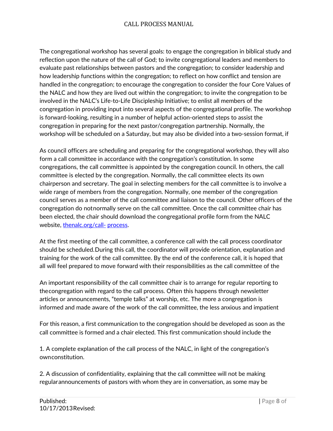The congregational workshop has several goals: to engage the congregation in biblical study and reflection upon the nature of the call of God; to invite congregational leaders and members to evaluate past relationships between pastors and the congregation; to consider leadership and how leadership functions within the congregation; to reflect on how conflict and tension are handled in the congregation; to encourage the congregation to consider the four Core Values of the NALC and how they are lived out within the congregation; to invite the congregation to be involved in the NALC's Life-to-Life Discipleship Initiative; to enlist all members of the congregation in providing input into several aspects of the congregational profile. The workshop is forward-looking, resulting in a number of helpful action-oriented steps to assist the congregation in preparing for the next pastor/congregation partnership. Normally, the workshop will be scheduled on a Saturday, but may also be divided into a two-session format, if

As council officers are scheduling and preparing for the congregational workshop, they will also form a call committee in accordance with the congregation's constitution. In some congregations, the call committee is appointed by the congregation council. In others, the call committee is elected by the congregation. Normally, the call committee elects its own chairperson and secretary. The goal in selecting members for the call committee is to involve a wide range of members from the congregation. Normally, one member of the congregation council serves as a member of the call committee and liaison to the council. Other officers of the congregation do notnormally serve on the call committee. Once the call committee chair has been elected, the chair should download the congregational profile form from the NALC website, thenalc.org/call- process.

At the first meeting of the call committee, a conference call with the call process coordinator should be scheduled.During this call, the coordinator will provide orientation, explanation and training for the work of the call committee. By the end of the conference call, it is hoped that all will feel prepared to move forward with their responsibilities as the call committee of the

An important responsibility of the call committee chair is to arrange for regular reporting to thecongregation with regard to the call process. Often this happens through newsletter articles or announcements, "temple talks" at worship, etc. The more a congregation is informed and made aware of the work of the call committee, the less anxious and impatient

For this reason, a first communication to the congregation should be developed as soon as the call committee is formed and a chair elected. This first communication should include the

1. A complete explanation of the call process of the NALC, in light of the congregation's ownconstitution.

2. A discussion of confidentiality, explaining that the call committee will not be making regularannouncements of pastors with whom they are in conversation, as some may be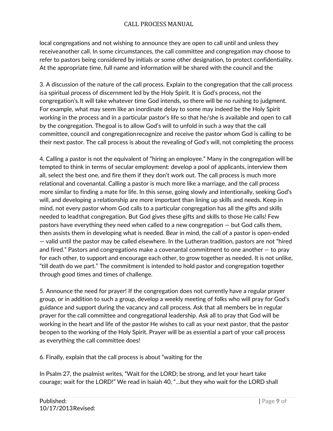local congregations and not wishing to announce they are open to call until and unless they receiveanother call. In some circumstances, the call committee and congregation may choose to refer to pastors being considered by initials or some other designation, to protect confidentiality. At the appropriate time, full name and information will be shared with the council and the

3. A discussion of the nature of the call process. Explain to the congregation that the call process isa spiritual process of discernment led by the Holy Spirit. It is God's process, not the congregation's.It will take whatever time God intends, so there will be no rushing to judgment. For example, what may seem like an inordinate delay to some may indeed be the Holy Spirit working in the process and in a particular pastor's life so that he/she is available and open to call by the congregation. Thegoal is to allow God's will to unfold in such a way that the call committee, council and congregationrecognize and receive the pastor whom God is calling to be their next pastor. The call process is about the revealing of God's will, not completing the process

4. Calling a pastor is not the equivalent of "hiring an employee." Many in the congregation will be tempted to think in terms of secular employment: develop a pool of applicants, interview them all, select the best one, and fire them if they don't work out. The call process is much more relational and covenantal. Calling a pastor is much more like a marriage, and the call process more similar to finding a mate for life. In this sense, going slowly and intentionally, seeking God's will, and developing a relationship are more important than lining up skills and needs. Keep in mind, not every pastor whom God calls to a particular congregation has all the gifts and skills needed to leadthat congregation. But God gives these gifts and skills to those He calls! Few pastors have everything they need when called to a new congregation — but God calls them, then assists them in developing what is needed. Bear in mind, the call of a pastor is open-ended — valid until the pastor may be called elsewhere. In the Lutheran tradition, pastors are not "hired and fired." Pastors and congregations make a covenantal commitment to one another  $-$  to pray for each other, to support and encourage each other, to grow together as needed. It is not unlike, "till death do we part." The commitment is intended to hold pastor and congregation together through good times and times of challenge.

5. Announce the need for prayer! If the congregation does not currently have a regular prayer group, or in addition to such a group, develop a weekly meeting of folks who will pray for God's guidance and support during the vacancy and call process. Ask that all members be in regular prayer for the call committee and congregational leadership. Ask all to pray that God will be working in the heart and life of the pastor He wishes to call as your next pastor, that the pastor beopen to the working of the Holy Spirit. Prayer will be as essential a part of your call process as everything the call committee does!

6. Finally, explain that the call process is about "waiting for the

In Psalm 27, the psalmist writes, "Wait for the LORD; be strong, and let your heart take courage; wait for the LORD!" We read in Isaiah 40, "…but they who wait for the LORD shall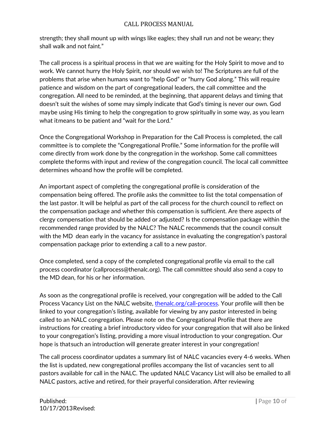strength; they shall mount up with wings like eagles; they shall run and not be weary; they shall walk and not faint."

The call process is a spiritual process in that we are waiting for the Holy Spirit to move and to work. We cannot hurry the Holy Spirit, nor should we wish to! The Scriptures are full of the problems that arise when humans want to "help God" or "hurry God along." This will require patience and wisdom on the part of congregational leaders, the call committee and the congregation. All need to be reminded, at the beginning, that apparent delays and timing that doesn't suit the wishes of some may simply indicate that God's timing is never our own. God maybe using His timing to help the congregation to grow spiritually in some way, as you learn what itmeans to be patient and "wait for the Lord."

Once the Congregational Workshop in Preparation for the Call Process is completed, the call committee is to complete the "Congregational Profile." Some information for the profile will come directly from work done by the congregation in the workshop. Some call committees complete theforms with input and review of the congregation council. The local call committee determines whoand how the profile will be completed.

An important aspect of completing the congregational profile is consideration of the compensation being offered. The profile asks the committee to list the total compensation of the last pastor. It will be helpful as part of the call process for the church council to reflect on the compensation package and whether this compensation is sufficient. Are there aspects of clergy compensation that should be added or adjusted? Is the compensation package within the recommended range provided by the NALC? The NALC recommends that the council consult with the MD dean early in the vacancy for assistance in evaluating the congregation's pastoral compensation package prior to extending a call to a new pastor.

Once completed, send a copy of the completed congregational profile via email to the call process coordinator (callprocess@thenalc.org). The call committee should also send a copy to the MD dean, for his or her information.

As soon as the congregational profile is received, your congregation will be added to the Call Process Vacancy List on the NALC website, thenalc.org/call-process. Your profile will then be linked to your congregation's listing, available for viewing by any pastor interested in being called to an NALC congregation. Please note on the Congregational Profile that there are instructions for creating a brief introductory video for your congregation that will also be linked to your congregation's listing, providing a more visual introduction to your congregation. Our hope is thatsuch an introduction will generate greater interest in your congregation!

The call process coordinator updates a summary list of NALC vacancies every 4-6 weeks. When the list is updated, new congregational profiles accompany the list of vacancies sent to all pastors available for call in the NALC. The updated NALC Vacancy List will also be emailed to all NALC pastors, active and retired, for their prayerful consideration. After reviewing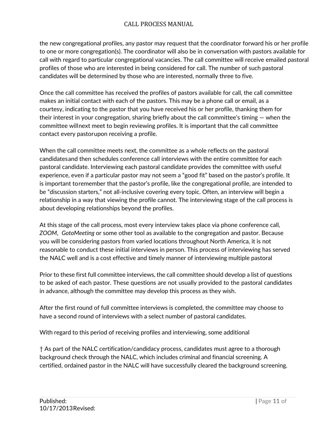the new congregational profiles, any pastor may request that the coordinator forward his or her profile to one or more congregation(s). The coordinator will also be in conversation with pastors available for call with regard to particular congregational vacancies. The call committee will receive emailed pastoral profiles of those who are interested in being considered for call. The number of such pastoral candidates will be determined by those who are interested, normally three to five.

Once the call committee has received the profiles of pastors available for call, the call committee makes an initial contact with each of the pastors. This may be a phone call or email, as a courtesy, indicating to the pastor that you have received his or her profile, thanking them for their interest in your congregation, sharing briefly about the call committee's timing  $-$  when the committee willnext meet to begin reviewing profiles. It is important that the call committee contact every pastorupon receiving a profile.

When the call committee meets next, the committee as a whole reflects on the pastoral candidatesand then schedules conference call interviews with the entire committee for each pastoral candidate. Interviewing each pastoral candidate provides the committee with useful experience, even if a particular pastor may not seem a "good fit" based on the pastor's profile. It is important toremember that the pastor's profile, like the congregational profile, are intended to be "discussion starters," not all-inclusive covering every topic. Often, an interview will begin a relationship in a way that viewing the profile cannot. The interviewing stage of the call process is about developing relationships beyond the profiles.

At this stage of the call process, most every interview takes place via phone conference call, *ZOOM*, *GotoMeeting* or some other tool as available to the congregation and pastor. Because you will be considering pastors from varied locations throughout North America, it is not reasonable to conduct these initial interviews in person. This process of interviewing has served the NALC well and is a cost effective and timely manner of interviewing multiple pastoral

Prior to these first full committee interviews, the call committee should develop a list of questions to be asked of each pastor. These questions are not usually provided to the pastoral candidates in advance, although the committee may develop this process as they wish.

After the first round of full committee interviews is completed, the committee may choose to have a second round of interviews with a select number of pastoral candidates.

With regard to this period of receiving profiles and interviewing, some additional

† As part of the NALC certification/candidacy process, candidates must agree to a thorough background check through the NALC, which includes criminal and financial screening. A certified, ordained pastor in the NALC will have successfully cleared the background screening.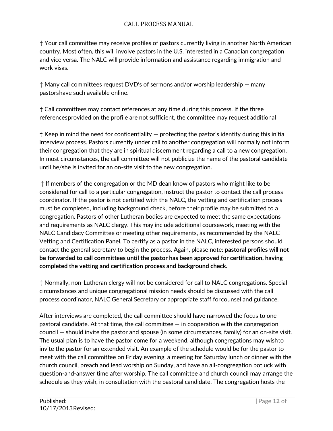† Your call committee may receive profiles of pastors currently living in another North American country. Most often, this will involve pastors in the U.S. interested in a Canadian congregation and vice versa. The NALC will provide information and assistance regarding immigration and work visas.

† Many call committees request DVD's of sermons and/or worship leadership — many pastorshave such available online.

† Call committees may contact references at any time during this process. If the three referencesprovided on the profile are not sufficient, the committee may request additional

 $\dagger$  Keep in mind the need for confidentiality  $-$  protecting the pastor's identity during this initial interview process. Pastors currently under call to another congregation will normally not inform their congregation that they are in spiritual discernment regarding a call to a new congregation. In most circumstances, the call committee will not publicize the name of the pastoral candidate until he/she is invited for an on-site visit to the new congregation.

† If members of the congregation or the MD dean know of pastors who might like to be considered for call to a particular congregation, instruct the pastor to contact the call process coordinator. If the pastor is not certified with the NALC, the vetting and certification process must be completed, including background check, before their profile may be submitted to a congregation. Pastors of other Lutheran bodies are expected to meet the same expectations and requirements as NALC clergy. This may include additional coursework, meeting with the NALC Candidacy Committee or meeting other requirements, as recommended by the NALC Vetting and Certification Panel. To certify as a pastor in the NALC, interested persons should contact the general secretary to begin the process. Again, please note: **pastoral profiles will not be forwarded to call committees until the pastor has been approved for certification, having completed the vetting and certification process and background check.**

† Normally, non-Lutheran clergy will not be considered for call to NALC congregations. Special circumstances and unique congregational mission needs should be discussed with the call process coordinator, NALC General Secretary or appropriate staff forcounsel and guidance.

After interviews are completed, the call committee should have narrowed the focus to one pastoral candidate. At that time, the call committee  $-$  in cooperation with the congregation council — should invite the pastor and spouse (in some circumstances, family) for an on-site visit. The usual plan is to have the pastor come for a weekend, although congregations may wishto invite the pastor for an extended visit. An example of the schedule would be for the pastor to meet with the call committee on Friday evening, a meeting for Saturday lunch or dinner with the church council, preach and lead worship on Sunday, and have an all-congregation potluck with question-and-answer time after worship. The call committee and church council may arrange the schedule as they wish, in consultation with the pastoral candidate. The congregation hosts the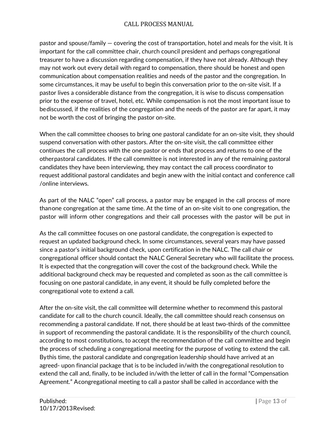pastor and spouse/family — covering the cost of transportation, hotel and meals for the visit. It is important for the call committee chair, church council president and perhaps congregational treasurer to have a discussion regarding compensation, if they have not already. Although they may not work out every detail with regard to compensation, there should be honest and open communication about compensation realities and needs of the pastor and the congregation. In some circumstances, it may be useful to begin this conversation prior to the on-site visit. If a pastor lives a considerable distance from the congregation, it is wise to discuss compensation prior to the expense of travel, hotel, etc. While compensation is not the most important issue to bediscussed, if the realities of the congregation and the needs of the pastor are far apart, it may not be worth the cost of bringing the pastor on-site.

When the call committee chooses to bring one pastoral candidate for an on-site visit, they should suspend conversation with other pastors. After the on-site visit, the call committee either continues the call process with the one pastor or ends that process and returns to one of the otherpastoral candidates. If the call committee is not interested in any of the remaining pastoral candidates they have been interviewing, they may contact the call process coordinator to request additional pastoral candidates and begin anew with the initial contact and conference call /online interviews.

As part of the NALC "open" call process, a pastor may be engaged in the call process of more thanone congregation at the same time. At the time of an on-site visit to one congregation, the pastor will inform other congregations and their call processes with the pastor will be put in

As the call committee focuses on one pastoral candidate, the congregation is expected to request an updated background check. In some circumstances, several years may have passed since a pastor's initial background check, upon certification in the NALC. The call chair or congregational officer should contact the NALC General Secretary who will facilitate the process. It is expected that the congregation will cover the cost of the background check. While the additional background check may be requested and completed as soon as the call committee is focusing on one pastoral candidate, in any event, it should be fully completed before the congregational vote to extend a call.

After the on-site visit, the call committee will determine whether to recommend this pastoral candidate for call to the church council. Ideally, the call committee should reach consensus on recommending a pastoral candidate. If not, there should be at least two-thirds of the committee in support of recommending the pastoral candidate. It is the responsibility of the church council, according to most constitutions, to accept the recommendation of the call committee and begin the process of scheduling a congregational meeting for the purpose of voting to extend the call. Bythis time, the pastoral candidate and congregation leadership should have arrived at an agreed- upon financial package that is to be included in/with the congregational resolution to extend the call and, finally, to be included in/with the letter of call in the formal "Compensation Agreement." Acongregational meeting to call a pastor shall be called in accordance with the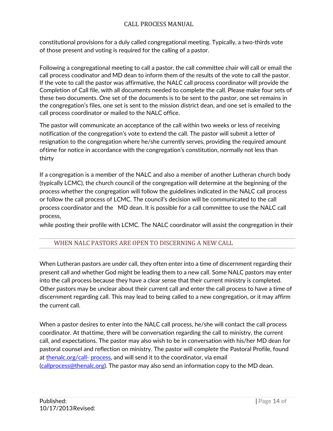constitutional provisions for a duly called congregational meeting. Typically, a two-thirds vote of those present and voting is required for the calling of a pastor.

Following a congregational meeting to call a pastor, the call committee chair will call or email the call process coodinator and MD dean to inform them of the results of the vote to call the pastor. If the vote to call the pastor was affirmative, the NALC call process coordinator will provide the Completion of Call file, with all documents needed to complete the call. Please make four sets of these two documents. One set of the documents is to be sent to the pastor, one set remains in the congregation's files, one set is sent to the mission district dean, and one set is emailed to the call process coordinator or mailed to the NALC office.

The pastor will communicate an acceptance of the call within two weeks or less of receiving notification of the congregation's vote to extend the call. The pastor will submit a letter of resignation to the congregation where he/she currently serves, providing the required amount oftime for notice in accordance with the congregation's constitution, normally not less than thirty

If a congregation is a member of the NALC and also a member of another Lutheran church body (typically LCMC), the church council of the congregation will determine at the beginning of the process whether the congregation will follow the guidelines indicated in the NALC call process or follow the call process of LCMC. The council's decision will be communicated to the call process coordinator and the MD dean. It is possible for a call committee to use the NALC call process,

while posting their profile with LCMC. The NALC coordinator will assist the congregation in their

### WHEN NALC PASTORS ARE OPEN TO DISCERNING A NEW CALL

When Lutheran pastors are under call, they often enter into a time of discernment regarding their present call and whether God might be leading them to a new call. Some NALC pastors may enter into the call process because they have a clear sense that their current ministry is completed. Other pastors may be unclear about their current call and enter the call process to have a time of discernment regarding call. This may lead to being called to a new congregation, or it may affirm the current call.

When a pastor desires to enter into the NALC call process, he/she will contact the call process coordinator. At thattime, there will be conversation regarding the call to ministry, the current call, and expectations. The pastor may also wish to be in conversation with his/her MD dean for pastoral counsel and reflection on ministry. The pastor will complete the Pastoral Profile, found at thenalc.org/call- process, and will send it to the coordinator, via email (callprocess@thenalc.org). The pastor may also send an information copy to the MD dean.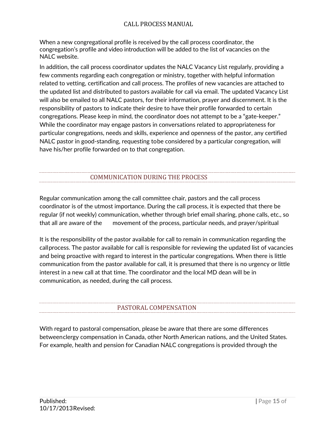When a new congregational profile is received by the call process coordinator, the congregation's profile and video introduction will be added to the list of vacancies on the NALC website.

In addition, the call process coordinator updates the NALC Vacancy List regularly, providing a few comments regarding each congregation or ministry, together with helpful information related to vetting, certification and call process. The profiles of new vacancies are attached to the updated list and distributed to pastors available for call via email. The updated Vacancy List will also be emailed to all NALC pastors, for their information, prayer and discernment. It is the responsibility of pastors to indicate their desire to have their profile forwarded to certain congregations. Please keep in mind, the coordinator does not attempt to be a "gate-keeper." While the coordinator may engage pastors in conversations related to appropriateness for particular congregations, needs and skills, experience and openness of the pastor, any certified NALC pastor in good-standing, requesting tobe considered by a particular congregation, will have his/her profile forwarded on to that congregation.

## COMMUNICATION DURING THE PROCESS

Regular communication among the call committee chair, pastors and the call process coordinator is of the utmost importance. During the call process, it is expected that there be regular (if not weekly) communication, whether through brief email sharing, phone calls, etc., so that all are aware of the movement of the process, particular needs, and prayer/spiritual

It is the responsibility of the pastor available for call to remain in communication regarding the callprocess. The pastor available for call is responsible for reviewing the updated list of vacancies and being proactive with regard to interest in the particular congregations. When there is little communication from the pastor available for call, it is presumed that there is no urgency or little interest in a new call at that time. The coordinator and the local MD dean will be in communication, as needed, during the call process.

### PASTORAL COMPENSATION

With regard to pastoral compensation, please be aware that there are some differences betweenclergy compensation in Canada, other North American nations, and the United States. For example, health and pension for Canadian NALC congregations is provided through the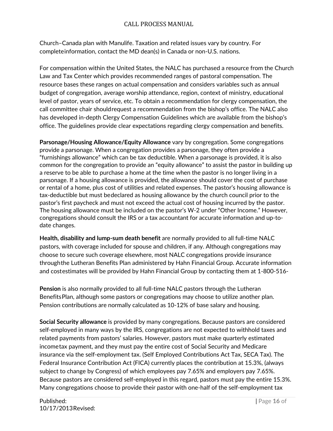Church–Canada plan with Manulife. Taxation and related issues vary by country. For completeinformation, contact the MD dean(s) in Canada or non-U.S. nations.

For compensation within the United States, the NALC has purchased a resource from the Church Law and Tax Center which provides recommended ranges of pastoral compensation. The resource bases these ranges on actual compensation and considers variables such as annual budget of congregation, average worship attendance, region, context of ministry, educational level of pastor, years of service, etc. To obtain a recommendation for clergy compensation, the call committee chair shouldrequest a recommendation from the bishop's office. The NALC also has developed in-depth Clergy Compensation Guidelines which are available from the bishop's office. The guidelines provide clear expectations regarding clergy compensation and benefits.

**Parsonage/Housing Allowance/Equity Allowance** vary by congregation. Some congregations provide a parsonage. When a congregation provides a parsonage, they often provide a "furnishings allowance" which can be tax deductible. When a parsonage is provided, it is also common for the congregation to provide an "equity allowance" to assist the pastor in building up a reserve to be able to purchase a home at the time when the pastor is no longer living in a parsonage. If a housing allowance is provided, the allowance should cover the cost of purchase or rental of a home, plus cost of utilities and related expenses. The pastor's housing allowance is tax-deductible but must bedeclared as housing allowance by the church council prior to the pastor's first paycheck and must not exceed the actual cost of housing incurred by the pastor. The housing allowance must be included on the pastor's W-2 under "Other Income." However, congregations should consult the IRS or a tax accountant for accurate information and up-todate changes.

**Health, disability and lump-sum death benefit** are normally provided to all full-time NALC pastors, with coverage included for spouse and children, if any. Although congregations may choose to secure such coverage elsewhere, most NALC congregations provide insurance throughthe Lutheran Benefits Plan administered by Hahn Financial Group. Accurate information and costestimates will be provided by Hahn Financial Group by contacting them at 1-800-516-

**Pension** is also normally provided to all full-time NALC pastors through the Lutheran BenefitsPlan, although some pastors or congregations may choose to utilize another plan. Pension contributions are normally calculated as 10-12% of base salary and housing.

**Social Security allowance** is provided by many congregations. Because pastors are considered self-employed in many ways by the IRS, congregations are not expected to withhold taxes and related payments from pastors' salaries. However, pastors must make quarterly estimated incometax payment, and they must pay the entire cost of Social Security and Medicare insurance via the self-employment tax. (Self Employed Contributions Act Tax, SECA Tax). The Federal Insurance Contribution Act (FICA) currently places the contribution at 15.3%, (always subject to change by Congress) of which employees pay 7.65% and employers pay 7.65%. Because pastors are considered self-employed in this regard, pastors must pay the entire 15.3%. Many congregations choose to provide their pastor with one-half of the self-employment tax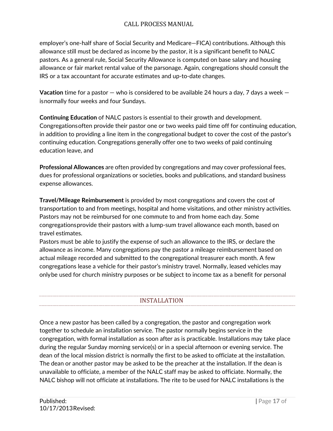employer's one-half share of Social Security and Medicare—FICA) contributions. Although this allowance still must be declared as income by the pastor, it is a significant benefit to NALC pastors. As a general rule, Social Security Allowance is computed on base salary and housing allowance or fair market rental value of the parsonage. Again, congregations should consult the IRS or a tax accountant for accurate estimates and up-to-date changes.

**Vacation** time for a pastor — who is considered to be available 24 hours a day, 7 days a week isnormally four weeks and four Sundays.

**Continuing Education** of NALC pastors is essential to their growth and development. Congregationsoften provide their pastor one or two weeks paid time off for continuing education, in addition to providing a line item in the congregational budget to cover the cost of the pastor's continuing education. Congregations generally offer one to two weeks of paid continuing education leave, and

**Professional Allowances** are often provided by congregations and may cover professional fees, dues for professional organizations or societies, books and publications, and standard business expense allowances.

**Travel/Mileage Reimbursement** is provided by most congregations and covers the cost of transportation to and from meetings, hospital and home visitations, and other ministry activities. Pastors may not be reimbursed for one commute to and from home each day. Some congregationsprovide their pastors with a lump-sum travel allowance each month, based on travel estimates.

Pastors must be able to justify the expense of such an allowance to the IRS, or declare the allowance as income. Many congregations pay the pastor a mileage reimbursement based on actual mileage recorded and submitted to the congregational treasurer each month. A few congregations lease a vehicle for their pastor's ministry travel. Normally, leased vehicles may onlybe used for church ministry purposes or be subject to income tax as a benefit for personal

### INSTALLATION

Once a new pastor has been called by a congregation, the pastor and congregation work together to schedule an installation service. The pastor normally begins service in the congregation, with formal installation as soon after as is practicable. Installations may take place during the regular Sunday morning service(s) or in a special afternoon or evening service. The dean of the local mission district is normally the first to be asked to officiate at the installation. The dean or another pastor may be asked to be the preacher at the installation. If the dean is unavailable to officiate, a member of the NALC staff may be asked to officiate. Normally, the NALC bishop will not officiate at installations. The rite to be used for NALC installations is the